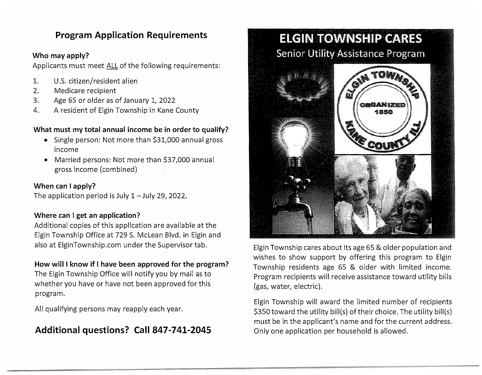## **Program Application Requirements**

#### **Who may apply?**

Applicants must meet ALL of the following requirements:

- 1. U.S. citizen/resident alien
- 2. Medicare recipient
- 3. Age 65 or older as of January 1, 2022
- 4. A resident of Elgin Township in Kane County

#### **What must my total annual income be in order to qualify?**

- Single person: Not more than \$31,000 annual gross income
- Married persons: Not more than \$37,000 annual gross income (combined)

#### **When can I apply?**

The application period is July  $1 -$  July 29, 2022.

#### **Where can I get an application?**

Additional copies of this application are available at the Elgin Township Office at 729 S. McLean Blvd. in Elgin and also at ElginTownship.com under the Supervisor tab.

#### **How will I know if I have been approved for the program?**

The Elgin Township Office will notify you by mail as to whether you have or have not been approved for this program.

All qualifying persons may reapply each year.

# **Additional questions? Call 847-741-2045**



Elgin Township cares about its age 65 & older population and wishes to show support by offering this program to Elgin Township residents age 65 & older with limited income. Program recipients will receive assistance toward utility bills (gas, water, electric).

Elgin Township will award the limited number of recipients \$350 toward the utility bill(s) of their choice. The utility bill(s) must be in the applicant's name and for the current address. Only one application per household is allowed.